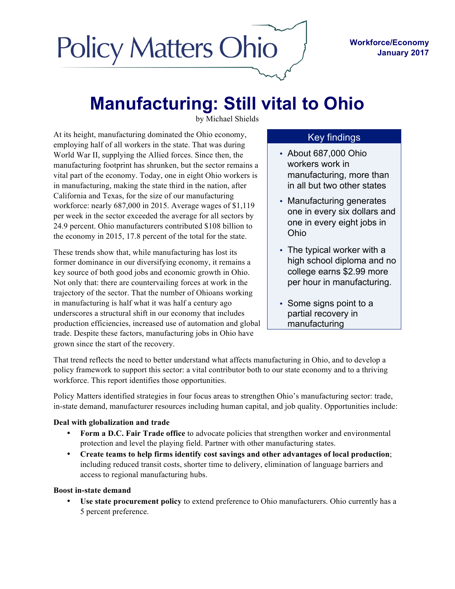# **Policy Matters Ohio**

# **Manufacturing: Still vital to Ohio**

by Michael Shields

At its height, manufacturing dominated the Ohio economy, employing half of all workers in the state. That was during World War II, supplying the Allied forces. Since then, the manufacturing footprint has shrunken, but the sector remains a vital part of the economy. Today, one in eight Ohio workers is in manufacturing, making the state third in the nation, after California and Texas, for the size of our manufacturing workforce: nearly 687,000 in 2015. Average wages of \$1,119 per week in the sector exceeded the average for all sectors by 24.9 percent. Ohio manufacturers contributed \$108 billion to the economy in 2015, 17.8 percent of the total for the state.

These trends show that, while manufacturing has lost its former dominance in our diversifying economy, it remains a key source of both good jobs and economic growth in Ohio. Not only that: there are countervailing forces at work in the trajectory of the sector. That the number of Ohioans working in manufacturing is half what it was half a century ago underscores a structural shift in our economy that includes production efficiencies, increased use of automation and global trade. Despite these factors, manufacturing jobs in Ohio have grown since the start of the recovery.

# Key findings

- About 687,000 Ohio workers work in manufacturing, more than in all but two other states
- Manufacturing generates one in every six dollars and one in every eight jobs in Ohio
- The typical worker with a high school diploma and no college earns \$2.99 more per hour in manufacturing.
- Some signs point to a partial recovery in manufacturing

That trend reflects the need to better understand what affects manufacturing in Ohio, and to develop a policy framework to support this sector: a vital contributor both to our state economy and to a thriving workforce. This report identifies those opportunities.

Policy Matters identified strategies in four focus areas to strengthen Ohio's manufacturing sector: trade, in-state demand, manufacturer resources including human capital, and job quality. Opportunities include:

# **Deal with globalization and trade**

- **Form a D.C. Fair Trade office** to advocate policies that strengthen worker and environmental protection and level the playing field. Partner with other manufacturing states.
- **Create teams to help firms identify cost savings and other advantages of local production**; including reduced transit costs, shorter time to delivery, elimination of language barriers and access to regional manufacturing hubs.

# **Boost in-state demand**

• **Use state procurement policy** to extend preference to Ohio manufacturers. Ohio currently has a 5 percent preference.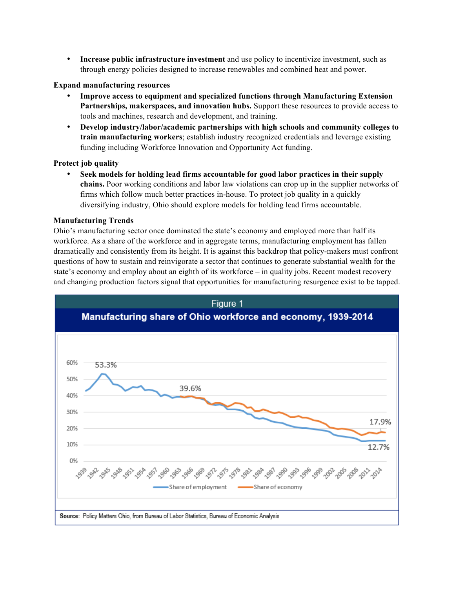• **Increase public infrastructure investment** and use policy to incentivize investment, such as through energy policies designed to increase renewables and combined heat and power.

#### **Expand manufacturing resources**

- **Improve access to equipment and specialized functions through Manufacturing Extension Partnerships, makerspaces, and innovation hubs.** Support these resources to provide access to tools and machines, research and development, and training.
- **Develop industry/labor/academic partnerships with high schools and community colleges to train manufacturing workers**; establish industry recognized credentials and leverage existing funding including Workforce Innovation and Opportunity Act funding.

#### **Protect job quality**

• **Seek models for holding lead firms accountable for good labor practices in their supply chains.** Poor working conditions and labor law violations can crop up in the supplier networks of firms which follow much better practices in-house. To protect job quality in a quickly diversifying industry, Ohio should explore models for holding lead firms accountable.

#### **Manufacturing Trends**

Ohio's manufacturing sector once dominated the state's economy and employed more than half its workforce. As a share of the workforce and in aggregate terms, manufacturing employment has fallen dramatically and consistently from its height. It is against this backdrop that policy-makers must confront questions of how to sustain and reinvigorate a sector that continues to generate substantial wealth for the state's economy and employ about an eighth of its workforce – in quality jobs. Recent modest recovery and changing production factors signal that opportunities for manufacturing resurgence exist to be tapped.

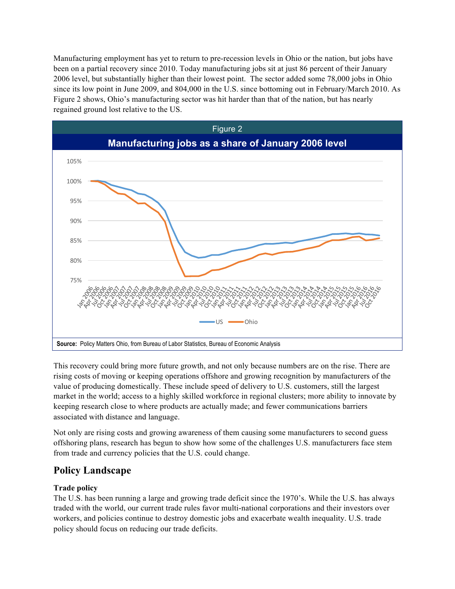Manufacturing employment has yet to return to pre-recession levels in Ohio or the nation, but jobs have been on a partial recovery since 2010. Today manufacturing jobs sit at just 86 percent of their January 2006 level, but substantially higher than their lowest point. The sector added some 78,000 jobs in Ohio since its low point in June 2009, and 804,000 in the U.S. since bottoming out in February/March 2010. As Figure 2 shows, Ohio's manufacturing sector was hit harder than that of the nation, but has nearly regained ground lost relative to the US.



This recovery could bring more future growth, and not only because numbers are on the rise. There are rising costs of moving or keeping operations offshore and growing recognition by manufacturers of the value of producing domestically. These include speed of delivery to U.S. customers, still the largest market in the world; access to a highly skilled workforce in regional clusters; more ability to innovate by keeping research close to where products are actually made; and fewer communications barriers associated with distance and language.

Not only are rising costs and growing awareness of them causing some manufacturers to second guess offshoring plans, research has begun to show how some of the challenges U.S. manufacturers face stem from trade and currency policies that the U.S. could change.

# **Policy Landscape**

# **Trade policy**

The U.S. has been running a large and growing trade deficit since the 1970's. While the U.S. has always traded with the world, our current trade rules favor multi-national corporations and their investors over workers, and policies continue to destroy domestic jobs and exacerbate wealth inequality. U.S. trade policy should focus on reducing our trade deficits.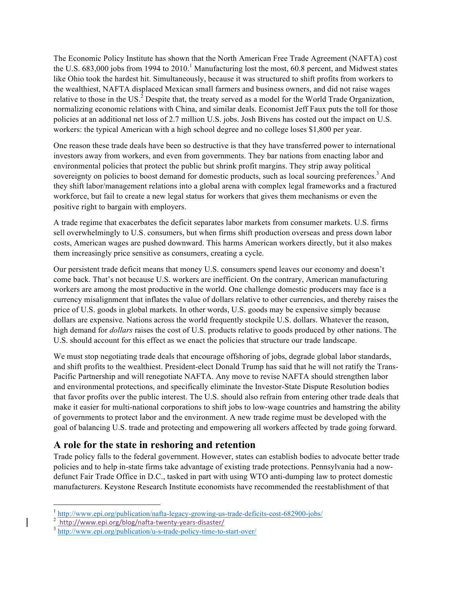The Economic Policy Institute has shown that the North American Free Trade Agreement (NAFTA) cost the U.S.  $683,000$  jobs from 1994 to  $2010<sup>1</sup>$  Manufacturing lost the most, 60.8 percent, and Midwest states like Ohio took the hardest hit. Simultaneously, because it was structured to shift profits from workers to the wealthiest, NAFTA displaced Mexican small farmers and business owners, and did not raise wages relative to those in the US.<sup>2</sup> Despite that, the treaty served as a model for the World Trade Organization, normalizing economic relations with China, and similar deals. Economist Jeff Faux puts the toll for those policies at an additional net loss of 2.7 million U.S. jobs. Josh Bivens has costed out the impact on U.S. workers: the typical American with a high school degree and no college loses \$1,800 per year.

One reason these trade deals have been so destructive is that they have transferred power to international investors away from workers, and even from governments. They bar nations from enacting labor and environmental policies that protect the public but shrink profit margins. They strip away political sovereignty on policies to boost demand for domestic products, such as local sourcing preferences.<sup>3</sup> And they shift labor/management relations into a global arena with complex legal frameworks and a fractured workforce, but fail to create a new legal status for workers that gives them mechanisms or even the positive right to bargain with employers.

A trade regime that exacerbates the deficit separates labor markets from consumer markets. U.S. firms sell overwhelmingly to U.S. consumers, but when firms shift production overseas and press down labor costs, American wages are pushed downward. This harms American workers directly, but it also makes them increasingly price sensitive as consumers, creating a cycle.

Our persistent trade deficit means that money U.S. consumers spend leaves our economy and doesn't come back. That's not because U.S. workers are inefficient. On the contrary, American manufacturing workers are among the most productive in the world. One challenge domestic producers may face is a currency misalignment that inflates the value of dollars relative to other currencies, and thereby raises the price of U.S. goods in global markets. In other words, U.S. goods may be expensive simply because dollars are expensive. Nations across the world frequently stockpile U.S. dollars. Whatever the reason, high demand for *dollars* raises the cost of U.S. products relative to goods produced by other nations. The U.S. should account for this effect as we enact the policies that structure our trade landscape.

We must stop negotiating trade deals that encourage offshoring of jobs, degrade global labor standards, and shift profits to the wealthiest. President-elect Donald Trump has said that he will not ratify the Trans-Pacific Partnership and will renegotiate NAFTA. Any move to revise NAFTA should strengthen labor and environmental protections, and specifically eliminate the Investor-State Dispute Resolution bodies that favor profits over the public interest. The U.S. should also refrain from entering other trade deals that make it easier for multi-national corporations to shift jobs to low-wage countries and hamstring the ability of governments to protect labor and the environment. A new trade regime must be developed with the goal of balancing U.S. trade and protecting and empowering all workers affected by trade going forward.

# **A role for the state in reshoring and retention**

Trade policy falls to the federal government. However, states can establish bodies to advocate better trade policies and to help in-state firms take advantage of existing trade protections. Pennsylvania had a nowdefunct Fair Trade Office in D.C., tasked in part with using WTO anti-dumping law to protect domestic manufacturers. Keystone Research Institute economists have recommended the reestablishment of that

 

<sup>&</sup>lt;sup>1</sup> http://www.epi.org/publication/nafta-legacy-growing-us-trade-deficits-cost-682900-jobs/

<sup>2</sup> http://www.epi.org/blog/nafta-twenty-years-disaster/

<sup>3</sup> http://www.epi.org/publication/u-s-trade-policy-time-to-start-over/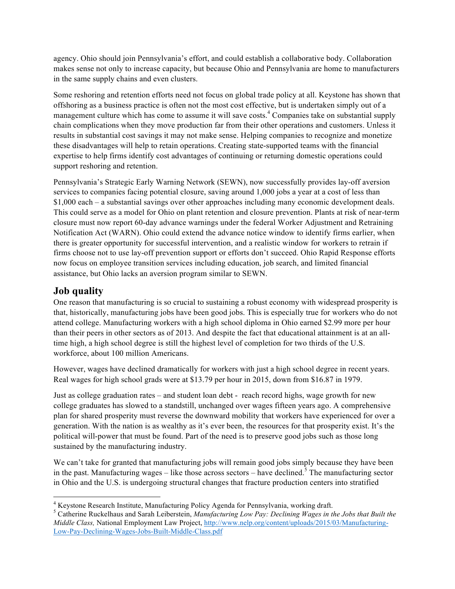agency. Ohio should join Pennsylvania's effort, and could establish a collaborative body. Collaboration makes sense not only to increase capacity, but because Ohio and Pennsylvania are home to manufacturers in the same supply chains and even clusters.

Some reshoring and retention efforts need not focus on global trade policy at all. Keystone has shown that offshoring as a business practice is often not the most cost effective, but is undertaken simply out of a management culture which has come to assume it will save costs.<sup>4</sup> Companies take on substantial supply chain complications when they move production far from their other operations and customers. Unless it results in substantial cost savings it may not make sense. Helping companies to recognize and monetize these disadvantages will help to retain operations. Creating state-supported teams with the financial expertise to help firms identify cost advantages of continuing or returning domestic operations could support reshoring and retention.

Pennsylvania's Strategic Early Warning Network (SEWN), now successfully provides lay-off aversion services to companies facing potential closure, saving around 1,000 jobs a year at a cost of less than \$1,000 each – a substantial savings over other approaches including many economic development deals. This could serve as a model for Ohio on plant retention and closure prevention. Plants at risk of near-term closure must now report 60-day advance warnings under the federal Worker Adjustment and Retraining Notification Act (WARN). Ohio could extend the advance notice window to identify firms earlier, when there is greater opportunity for successful intervention, and a realistic window for workers to retrain if firms choose not to use lay-off prevention support or efforts don't succeed. Ohio Rapid Response efforts now focus on employee transition services including education, job search, and limited financial assistance, but Ohio lacks an aversion program similar to SEWN.

# **Job quality**

 

One reason that manufacturing is so crucial to sustaining a robust economy with widespread prosperity is that, historically, manufacturing jobs have been good jobs. This is especially true for workers who do not attend college. Manufacturing workers with a high school diploma in Ohio earned \$2.99 more per hour than their peers in other sectors as of 2013. And despite the fact that educational attainment is at an alltime high, a high school degree is still the highest level of completion for two thirds of the U.S. workforce, about 100 million Americans.

However, wages have declined dramatically for workers with just a high school degree in recent years. Real wages for high school grads were at \$13.79 per hour in 2015, down from \$16.87 in 1979.

Just as college graduation rates – and student loan debt - reach record highs, wage growth for new college graduates has slowed to a standstill, unchanged over wages fifteen years ago. A comprehensive plan for shared prosperity must reverse the downward mobility that workers have experienced for over a generation. With the nation is as wealthy as it's ever been, the resources for that prosperity exist. It's the political will-power that must be found. Part of the need is to preserve good jobs such as those long sustained by the manufacturing industry.

We can't take for granted that manufacturing jobs will remain good jobs simply because they have been in the past. Manufacturing wages – like those across sectors – have declined.<sup>5</sup> The manufacturing sector in Ohio and the U.S. is undergoing structural changes that fracture production centers into stratified

<sup>&</sup>lt;sup>4</sup> Keystone Research Institute, Manufacturing Policy Agenda for Pennsylvania, working draft.

<sup>5</sup> Catherine Ruckelhaus and Sarah Leiberstein, *Manufacturing Low Pay: Declining Wages in the Jobs that Built the Middle Class,* National Employment Law Project, http://www.nelp.org/content/uploads/2015/03/Manufacturing-Low-Pay-Declining-Wages-Jobs-Built-Middle-Class.pdf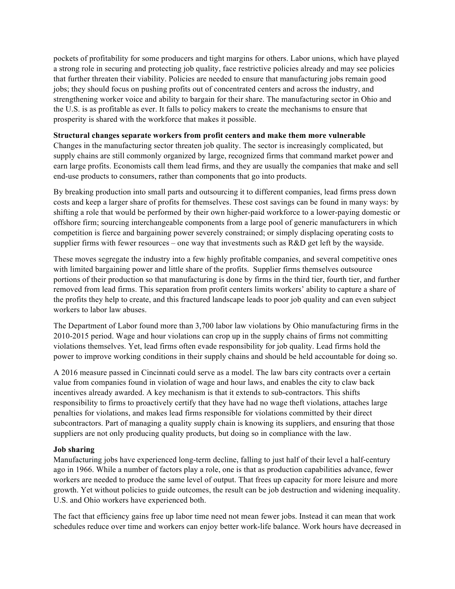pockets of profitability for some producers and tight margins for others. Labor unions, which have played a strong role in securing and protecting job quality, face restrictive policies already and may see policies that further threaten their viability. Policies are needed to ensure that manufacturing jobs remain good jobs; they should focus on pushing profits out of concentrated centers and across the industry, and strengthening worker voice and ability to bargain for their share. The manufacturing sector in Ohio and the U.S. is as profitable as ever. It falls to policy makers to create the mechanisms to ensure that prosperity is shared with the workforce that makes it possible.

#### **Structural changes separate workers from profit centers and make them more vulnerable**

Changes in the manufacturing sector threaten job quality. The sector is increasingly complicated, but supply chains are still commonly organized by large, recognized firms that command market power and earn large profits. Economists call them lead firms, and they are usually the companies that make and sell end-use products to consumers, rather than components that go into products.

By breaking production into small parts and outsourcing it to different companies, lead firms press down costs and keep a larger share of profits for themselves. These cost savings can be found in many ways: by shifting a role that would be performed by their own higher-paid workforce to a lower-paying domestic or offshore firm; sourcing interchangeable components from a large pool of generic manufacturers in which competition is fierce and bargaining power severely constrained; or simply displacing operating costs to supplier firms with fewer resources – one way that investments such as R&D get left by the wayside.

These moves segregate the industry into a few highly profitable companies, and several competitive ones with limited bargaining power and little share of the profits. Supplier firms themselves outsource portions of their production so that manufacturing is done by firms in the third tier, fourth tier, and further removed from lead firms. This separation from profit centers limits workers' ability to capture a share of the profits they help to create, and this fractured landscape leads to poor job quality and can even subject workers to labor law abuses.

The Department of Labor found more than 3,700 labor law violations by Ohio manufacturing firms in the 2010-2015 period. Wage and hour violations can crop up in the supply chains of firms not committing violations themselves. Yet, lead firms often evade responsibility for job quality. Lead firms hold the power to improve working conditions in their supply chains and should be held accountable for doing so.

A 2016 measure passed in Cincinnati could serve as a model. The law bars city contracts over a certain value from companies found in violation of wage and hour laws, and enables the city to claw back incentives already awarded. A key mechanism is that it extends to sub-contractors. This shifts responsibility to firms to proactively certify that they have had no wage theft violations, attaches large penalties for violations, and makes lead firms responsible for violations committed by their direct subcontractors. Part of managing a quality supply chain is knowing its suppliers, and ensuring that those suppliers are not only producing quality products, but doing so in compliance with the law.

#### **Job sharing**

Manufacturing jobs have experienced long-term decline, falling to just half of their level a half-century ago in 1966. While a number of factors play a role, one is that as production capabilities advance, fewer workers are needed to produce the same level of output. That frees up capacity for more leisure and more growth. Yet without policies to guide outcomes, the result can be job destruction and widening inequality. U.S. and Ohio workers have experienced both.

The fact that efficiency gains free up labor time need not mean fewer jobs. Instead it can mean that work schedules reduce over time and workers can enjoy better work-life balance. Work hours have decreased in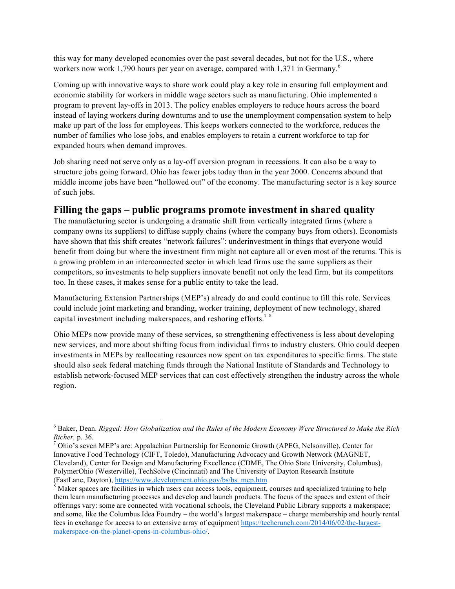this way for many developed economies over the past several decades, but not for the U.S., where workers now work 1,790 hours per year on average, compared with 1,371 in Germany.<sup>6</sup>

Coming up with innovative ways to share work could play a key role in ensuring full employment and economic stability for workers in middle wage sectors such as manufacturing. Ohio implemented a program to prevent lay-offs in 2013. The policy enables employers to reduce hours across the board instead of laying workers during downturns and to use the unemployment compensation system to help make up part of the loss for employees. This keeps workers connected to the workforce, reduces the number of families who lose jobs, and enables employers to retain a current workforce to tap for expanded hours when demand improves.

Job sharing need not serve only as a lay-off aversion program in recessions. It can also be a way to structure jobs going forward. Ohio has fewer jobs today than in the year 2000. Concerns abound that middle income jobs have been "hollowed out" of the economy. The manufacturing sector is a key source of such jobs.

# **Filling the gaps – public programs promote investment in shared quality**

The manufacturing sector is undergoing a dramatic shift from vertically integrated firms (where a company owns its suppliers) to diffuse supply chains (where the company buys from others). Economists have shown that this shift creates "network failures": underinvestment in things that everyone would benefit from doing but where the investment firm might not capture all or even most of the returns. This is a growing problem in an interconnected sector in which lead firms use the same suppliers as their competitors, so investments to help suppliers innovate benefit not only the lead firm, but its competitors too. In these cases, it makes sense for a public entity to take the lead.

Manufacturing Extension Partnerships (MEP's) already do and could continue to fill this role. Services could include joint marketing and branding, worker training, deployment of new technology, shared capital investment including makerspaces, and reshoring efforts.<sup>78</sup>

Ohio MEPs now provide many of these services, so strengthening effectiveness is less about developing new services, and more about shifting focus from individual firms to industry clusters. Ohio could deepen investments in MEPs by reallocating resources now spent on tax expenditures to specific firms. The state should also seek federal matching funds through the National Institute of Standards and Technology to establish network-focused MEP services that can cost effectively strengthen the industry across the whole region.

 

<sup>6</sup> Baker, Dean. *Rigged: How Globalization and the Rules of the Modern Economy Were Structured to Make the Rich* 

<sup>&</sup>lt;sup>7</sup> Ohio's seven MEP's are: Appalachian Partnership for Economic Growth (APEG, Nelsonville), Center for Innovative Food Technology (CIFT, Toledo), Manufacturing Advocacy and Growth Network (MAGNET, Cleveland), Center for Design and Manufacturing Excellence (CDME, The Ohio State University, Columbus), PolymerOhio (Westerville), TechSolve (Cincinnati) and The University of Dayton Research Institute (FastLane, Dayton), https://www.development.ohio.gov/bs/bs\_mep.htm  $\frac{8}{3}$  Maker spaces are facilities in which users can access tools, equipment, courses and specialized training to help

them learn manufacturing processes and develop and launch products. The focus of the spaces and extent of their offerings vary: some are connected with vocational schools, the Cleveland Public Library supports a makerspace; and some, like the Columbus Idea Foundry – the world's largest makerspace – charge membership and hourly rental fees in exchange for access to an extensive array of equipment https://techcrunch.com/2014/06/02/the-largestmakerspace-on-the-planet-opens-in-columbus-ohio/.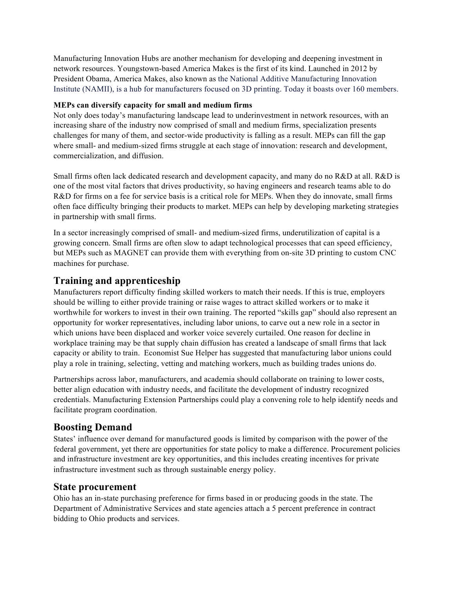Manufacturing Innovation Hubs are another mechanism for developing and deepening investment in network resources. Youngstown-based America Makes is the first of its kind. Launched in 2012 by President Obama, America Makes, also known as the National Additive Manufacturing Innovation Institute (NAMII), is a hub for manufacturers focused on 3D printing. Today it boasts over 160 members.

#### **MEPs can diversify capacity for small and medium firms**

Not only does today's manufacturing landscape lead to underinvestment in network resources, with an increasing share of the industry now comprised of small and medium firms, specialization presents challenges for many of them, and sector-wide productivity is falling as a result. MEPs can fill the gap where small- and medium-sized firms struggle at each stage of innovation: research and development, commercialization, and diffusion.

Small firms often lack dedicated research and development capacity, and many do no R&D at all. R&D is one of the most vital factors that drives productivity, so having engineers and research teams able to do R&D for firms on a fee for service basis is a critical role for MEPs. When they do innovate, small firms often face difficulty bringing their products to market. MEPs can help by developing marketing strategies in partnership with small firms.

In a sector increasingly comprised of small- and medium-sized firms, underutilization of capital is a growing concern. Small firms are often slow to adapt technological processes that can speed efficiency, but MEPs such as MAGNET can provide them with everything from on-site 3D printing to custom CNC machines for purchase.

# **Training and apprenticeship**

Manufacturers report difficulty finding skilled workers to match their needs. If this is true, employers should be willing to either provide training or raise wages to attract skilled workers or to make it worthwhile for workers to invest in their own training. The reported "skills gap" should also represent an opportunity for worker representatives, including labor unions, to carve out a new role in a sector in which unions have been displaced and worker voice severely curtailed. One reason for decline in workplace training may be that supply chain diffusion has created a landscape of small firms that lack capacity or ability to train. Economist Sue Helper has suggested that manufacturing labor unions could play a role in training, selecting, vetting and matching workers, much as building trades unions do.

Partnerships across labor, manufacturers, and academia should collaborate on training to lower costs, better align education with industry needs, and facilitate the development of industry recognized credentials. Manufacturing Extension Partnerships could play a convening role to help identify needs and facilitate program coordination.

# **Boosting Demand**

States' influence over demand for manufactured goods is limited by comparison with the power of the federal government, yet there are opportunities for state policy to make a difference. Procurement policies and infrastructure investment are key opportunities, and this includes creating incentives for private infrastructure investment such as through sustainable energy policy.

# **State procurement**

Ohio has an in-state purchasing preference for firms based in or producing goods in the state. The Department of Administrative Services and state agencies attach a 5 percent preference in contract bidding to Ohio products and services.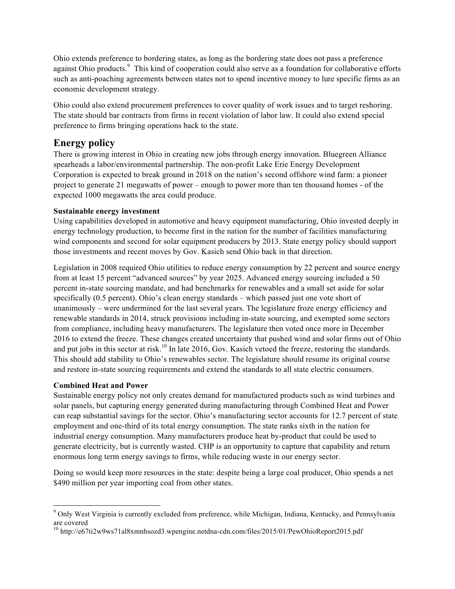Ohio extends preference to bordering states, as long as the bordering state does not pass a preference against Ohio products.<sup>9</sup> This kind of cooperation could also serve as a foundation for collaborative efforts such as anti-poaching agreements between states not to spend incentive money to lure specific firms as an economic development strategy.

Ohio could also extend procurement preferences to cover quality of work issues and to target reshoring. The state should bar contracts from firms in recent violation of labor law. It could also extend special preference to firms bringing operations back to the state.

# **Energy policy**

There is growing interest in Ohio in creating new jobs through energy innovation. Bluegreen Alliance spearheads a labor/environmental partnership. The non-profit Lake Erie Energy Development Corporation is expected to break ground in 2018 on the nation's second offshore wind farm: a pioneer project to generate 21 megawatts of power – enough to power more than ten thousand homes - of the expected 1000 megawatts the area could produce.

#### **Sustainable energy investment**

Using capabilities developed in automotive and heavy equipment manufacturing, Ohio invested deeply in energy technology production, to become first in the nation for the number of facilities manufacturing wind components and second for solar equipment producers by 2013. State energy policy should support those investments and recent moves by Gov. Kasich send Ohio back in that direction.

Legislation in 2008 required Ohio utilities to reduce energy consumption by 22 percent and source energy from at least 15 percent "advanced sources" by year 2025. Advanced energy sourcing included a 50 percent in-state sourcing mandate, and had benchmarks for renewables and a small set aside for solar specifically (0.5 percent). Ohio's clean energy standards – which passed just one vote short of unanimously – were undermined for the last several years. The legislature froze energy efficiency and renewable standards in 2014, struck provisions including in-state sourcing, and exempted some sectors from compliance, including heavy manufacturers. The legislature then voted once more in December 2016 to extend the freeze. These changes created uncertainty that pushed wind and solar firms out of Ohio and put jobs in this sector at risk.<sup>10</sup> In late 2016, Gov. Kasich vetoed the freeze, restoring the standards. This should add stability to Ohio's renewables sector. The legislature should resume its original course and restore in-state sourcing requirements and extend the standards to all state electric consumers.

# **Combined Heat and Power**

 

Sustainable energy policy not only creates demand for manufactured products such as wind turbines and solar panels, but capturing energy generated during manufacturing through Combined Heat and Power can reap substantial savings for the sector. Ohio's manufacturing sector accounts for 12.7 percent of state employment and one-third of its total energy consumption. The state ranks sixth in the nation for industrial energy consumption. Many manufacturers produce heat by-product that could be used to generate electricity, but is currently wasted. CHP is an opportunity to capture that capability and return enormous long term energy savings to firms, while reducing waste in our energy sector.

Doing so would keep more resources in the state: despite being a large coal producer, Ohio spends a net \$490 million per year importing coal from other states.

<sup>&</sup>lt;sup>9</sup> Only West Virginia is currently excluded from preference, while Michigan, Indiana, Kentucky, and Pennsylvania are covered

<sup>&</sup>lt;sup>10</sup> http://e67ti2w9ws71al8xmnhsozd3.wpengine.netdna-cdn.com/files/2015/01/PewOhioReport2015.pdf